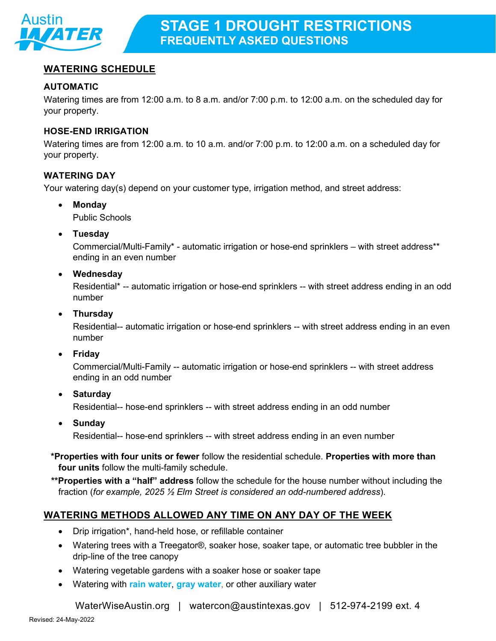

# **WATERING SCHEDULE**

## **AUTOMATIC**

Watering times are from 12:00 a.m. to 8 a.m. and/or 7:00 p.m. to 12:00 a.m. on the scheduled day for your property.

#### **HOSE-END IRRIGATION**

Watering times are from 12:00 a.m. to 10 a.m. and/or 7:00 p.m. to 12:00 a.m. on a scheduled day for your property.

### **WATERING DAY**

Your watering day(s) depend on your customer type, irrigation method, and street address:

• **Monday**

Public Schools

• **Tuesday**

Commercial/Multi-Family\* - automatic irrigation or hose-end sprinklers – with street address\*\* ending in an even number

• **Wednesday**

Residential\* -- automatic irrigation or hose-end sprinklers -- with street address ending in an odd number

• **Thursday**

Residential-- automatic irrigation or hose-end sprinklers -- with street address ending in an even number

• **Friday**

Commercial/Multi-Family -- automatic irrigation or hose-end sprinklers -- with street address ending in an odd number

• **Saturday**

Residential-- hose-end sprinklers -- with street address ending in an odd number

• **Sunday**

Residential-- hose-end sprinklers -- with street address ending in an even number

**\*Properties with four units or fewer** follow the residential schedule. **Properties with more than four units** follow the multi-family schedule.

**\*\*Properties with a "half" address** follow the schedule for the house number without including the fraction (*for example, 2025 ½ Elm Street is considered an odd-numbered address*).

## **WATERING METHODS ALLOWED ANY TIME ON ANY DAY OF THE WEEK**

- Drip irrigation\*, hand-held hose, or refillable container
- Watering trees with a [Treegator®,](http://www.austintexas.gov/department/free-water-conservation-tools) soaker hose, soaker tape, or automatic tree bubbler in the drip-line of the tree canopy
- Watering vegetable gardens with a soaker hose or soaker tape
- Watering with **[rain water](http://www.austintexas.gov/department/water-conservation-rebates)**, **[gray water](http://www.austintexas.gov/page/graywater)**, or other auxiliary water

[WaterWiseAustin.org](http://www.waterwiseaustin.org/) | [watercon@austintexas.gov](mailto:watercon@austintexas.gov) | 512-974-2199 ext. 4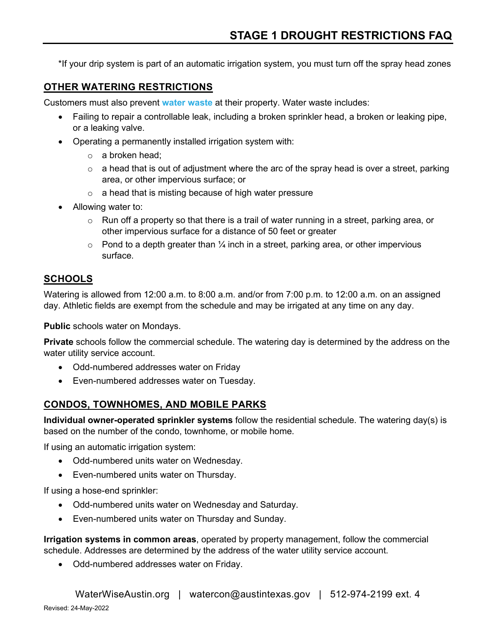\*If your drip system is part of an automatic irrigation system, you must turn off the spray head zones

## **OTHER WATERING RESTRICTIONS**

Customers must also prevent **[water waste](https://library.municode.com/tx/austin/codes/code_of_ordinances?nodeId=TIT6ENCOCO_CH6-4WACO_ART2WAUSMAREAC_DIV1REAC_S6-4-12WAWAPR)** at their property. Water waste includes:

- Failing to repair a controllable leak, including a broken sprinkler head, a broken or leaking pipe, or a leaking valve.
- Operating a permanently installed irrigation system with:
	- $\circ$  a broken head;
	- $\circ$  a head that is out of adjustment where the arc of the spray head is over a street, parking area, or other impervious surface; or
	- $\circ$  a head that is misting because of high water pressure
- Allowing water to:
	- $\circ$  Run off a property so that there is a trail of water running in a street, parking area, or other impervious surface for a distance of 50 feet or greater
	- $\circ$  Pond to a depth greater than  $\frac{1}{4}$  inch in a street, parking area, or other impervious surface.

## **SCHOOLS**

Watering is allowed from 12:00 a.m. to 8:00 a.m. and/or from 7:00 p.m. to 12:00 a.m. on an assigned day. Athletic fields are exempt from the schedule and may be irrigated at any time on any day.

**Public** schools water on Mondays.

**Private** schools follow the commercial schedule. The watering day is determined by the address on the water utility service account.

- Odd-numbered addresses water on Friday
- Even-numbered addresses water on Tuesday.

## **CONDOS, TOWNHOMES, AND MOBILE PARKS**

**Individual owner-operated sprinkler systems** follow the residential schedule. The watering day(s) is based on the number of the condo, townhome, or mobile home.

If using an automatic irrigation system:

- Odd-numbered units water on Wednesday.
- Even-numbered units water on Thursday.

If using a hose-end sprinkler:

- Odd-numbered units water on Wednesday and Saturday.
- Even-numbered units water on Thursday and Sunday.

**Irrigation systems in common areas**, operated by property management, follow the commercial schedule. Addresses are determined by the address of the water utility service account.

• Odd-numbered addresses water on Friday.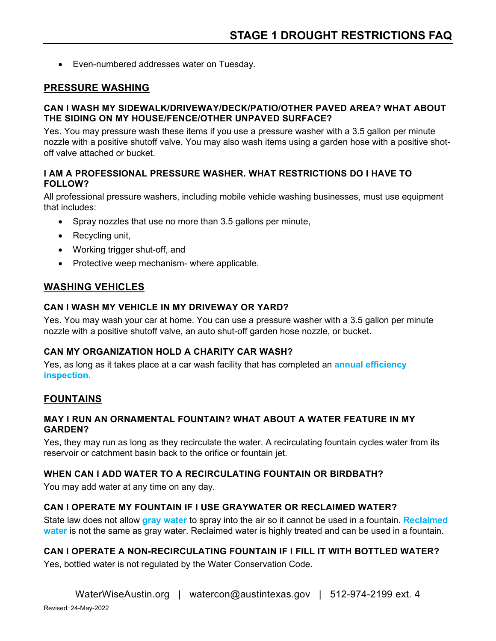• Even-numbered addresses water on Tuesday.

## **PRESSURE WASHING**

#### **CAN I WASH MY SIDEWALK/DRIVEWAY/DECK/PATIO/OTHER PAVED AREA? WHAT ABOUT THE SIDING ON MY HOUSE/FENCE/OTHER UNPAVED SURFACE?**

Yes. You may pressure wash these items if you use a pressure washer with a 3.5 gallon per minute nozzle with a positive shutoff valve. You may also wash items using a garden hose with a positive shotoff valve attached or bucket.

### **I AM A PROFESSIONAL PRESSURE WASHER. WHAT RESTRICTIONS DO I HAVE TO FOLLOW?**

All professional pressure washers, including mobile vehicle washing businesses, must use equipment that includes:

- Spray nozzles that use no more than 3.5 gallons per minute,
- Recycling unit,
- Working trigger shut-off, and
- Protective weep mechanism- where applicable.

# **WASHING VEHICLES**

### **CAN I WASH MY VEHICLE IN MY DRIVEWAY OR YARD?**

Yes. You may wash your car at home. You can use a pressure washer with a 3.5 gallon per minute nozzle with a positive shutoff valve, an auto shut-off garden hose nozzle, or bucket.

## **CAN MY ORGANIZATION HOLD A CHARITY CAR WASH?**

Yes, as long as it takes place at a car wash facility that has completed an **[annual efficiency](http://www.austintexas.gov/page/commercial-vehicle-wash-facility-efficiency-assessments)  [inspection](http://www.austintexas.gov/page/commercial-vehicle-wash-facility-efficiency-assessments)**.

## **FOUNTAINS**

#### **MAY I RUN AN ORNAMENTAL FOUNTAIN? WHAT ABOUT A WATER FEATURE IN MY GARDEN?**

Yes, they may run as long as they recirculate the water. A recirculating fountain cycles water from its reservoir or catchment basin back to the orifice or fountain jet.

## **WHEN CAN I ADD WATER TO A RECIRCULATING FOUNTAIN OR BIRDBATH?**

You may add water at any time on any day.

## **CAN I OPERATE MY FOUNTAIN IF I USE GRAYWATER OR RECLAIMED WATER?**

State law does not allow **[gray water](http://www.austintexas.gov/page/graywater)** to spray into the air so it cannot be used in a fountain. **[Reclaimed](http://austintexas.gov/department/water-reclamation)  [water](http://austintexas.gov/department/water-reclamation)** is not the same as gray water. Reclaimed water is highly treated and can be used in a fountain.

## **CAN I OPERATE A NON-RECIRCULATING FOUNTAIN IF I FILL IT WITH BOTTLED WATER?**

Yes, bottled water is not regulated by the Water Conservation Code.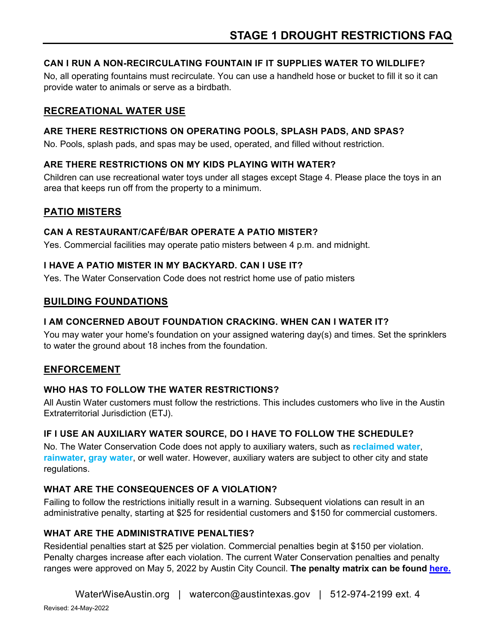# **CAN I RUN A NON-RECIRCULATING FOUNTAIN IF IT SUPPLIES WATER TO WILDLIFE?**

No, all operating fountains must recirculate. You can use a handheld hose or bucket to fill it so it can provide water to animals or serve as a birdbath.

# **RECREATIONAL WATER USE**

### **ARE THERE RESTRICTIONS ON OPERATING POOLS, SPLASH PADS, AND SPAS?**

No. Pools, splash pads, and spas may be used, operated, and filled without restriction.

### **ARE THERE RESTRICTIONS ON MY KIDS PLAYING WITH WATER?**

Children can use recreational water toys under all stages except Stage 4. Please place the toys in an area that keeps run off from the property to a minimum.

# **PATIO MISTERS**

### **CAN A RESTAURANT/CAFÉ/BAR OPERATE A PATIO MISTER?**

Yes. Commercial facilities may operate patio misters between 4 p.m. and midnight.

### **I HAVE A PATIO MISTER IN MY BACKYARD. CAN I USE IT?**

Yes. The Water Conservation Code does not restrict home use of patio misters

## **BUILDING FOUNDATIONS**

### **I AM CONCERNED ABOUT FOUNDATION CRACKING. WHEN CAN I WATER IT?**

You may water your home's foundation on your assigned watering day(s) and times. Set the sprinklers to water the ground about 18 inches from the foundation.

## **ENFORCEMENT**

#### **WHO HAS TO FOLLOW THE WATER RESTRICTIONS?**

All Austin Water customers must follow the restrictions. This includes customers who live in the Austin Extraterritorial Jurisdiction (ETJ).

## **IF I USE AN AUXILIARY WATER SOURCE, DO I HAVE TO FOLLOW THE SCHEDULE?**

No. The Water Conservation Code does not apply to auxiliary waters, such as **[reclaimed water](http://austintexas.gov/department/water-reclamation)**, **[rainwater](http://www.austintexas.gov/department/water-conservation-rebates)**, **[gray water](http://www.austintexas.gov/page/graywater)**, or well water. However, auxiliary waters are subject to other city and state regulations.

## **WHAT ARE THE CONSEQUENCES OF A VIOLATION?**

Failing to follow the restrictions initially result in a warning. Subsequent violations can result in an administrative penalty, starting at \$25 for residential customers and \$150 for commercial customers.

## **WHAT ARE THE ADMINISTRATIVE PENALTIES?**

Residential penalties start at \$25 per violation. Commercial penalties begin at \$150 per violation. Penalty charges increase after each violation. The current Water Conservation penalties and penalty ranges were approved on May 5, 2022 by Austin City Council. **The penalty matrix can be found [here.](/sites/default/files/files/Water/Conservation/Current%20Water%20Conservation%20Penalties_05-06-2022%20(003).pdf)**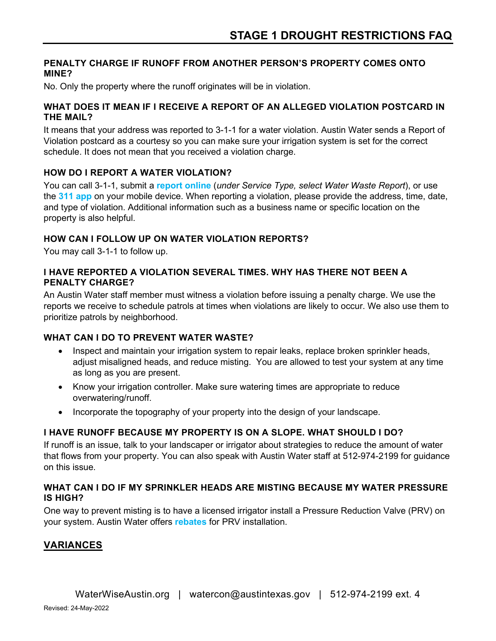#### **PENALTY CHARGE IF RUNOFF FROM ANOTHER PERSON'S PROPERTY COMES ONTO MINE?**

No. Only the property where the runoff originates will be in violation.

#### **WHAT DOES IT MEAN IF I RECEIVE A REPORT OF AN ALLEGED VIOLATION POSTCARD IN THE MAIL?**

It means that your address was reported to 3-1-1 for a water violation. Austin Water sends a Report of Violation postcard as a courtesy so you can make sure your irrigation system is set for the correct schedule. It does not mean that you received a violation charge.

## **HOW DO I REPORT A WATER VIOLATION?**

You can call 3-1-1, submit a **[report online](https://austin-csrprodcwi.motorolasolutions.com/Home.mvc/Index)** (*under Service Type, select Water Waste Report*), or use the **[311 app](http://www.austintexas.gov/department/smart-phone-app-overview)** on your mobile device. When reporting a violation, please provide the address, time, date, and type of violation. Additional information such as a business name or specific location on the property is also helpful.

# **HOW CAN I FOLLOW UP ON WATER VIOLATION REPORTS?**

You may call 3-1-1 to follow up.

### **I HAVE REPORTED A VIOLATION SEVERAL TIMES. WHY HAS THERE NOT BEEN A PENALTY CHARGE?**

An Austin Water staff member must witness a violation before issuing a penalty charge. We use the reports we receive to schedule patrols at times when violations are likely to occur. We also use them to prioritize patrols by neighborhood.

# **WHAT CAN I DO TO PREVENT WATER WASTE?**

- Inspect and maintain your irrigation system to repair leaks, replace broken sprinkler heads, adjust misaligned heads, and reduce misting. You are allowed to test your system at any time as long as you are present.
- Know your irrigation controller. Make sure watering times are appropriate to reduce overwatering/runoff.
- Incorporate the topography of your property into the design of your landscape.

# **I HAVE RUNOFF BECAUSE MY PROPERTY IS ON A SLOPE. WHAT SHOULD I DO?**

If runoff is an issue, talk to your landscaper or irrigator about strategies to reduce the amount of water that flows from your property. You can also speak with Austin Water staff at 512-974-2199 for guidance on this issue.

### **WHAT CAN I DO IF MY SPRINKLER HEADS ARE MISTING BECAUSE MY WATER PRESSURE IS HIGH?**

One way to prevent misting is to have a licensed irrigator install a Pressure Reduction Valve (PRV) on your system. Austin Water offers **[rebates](http://www.austintexas.gov/department/water-conservation-rebates)** for PRV installation.

# **VARIANCES**